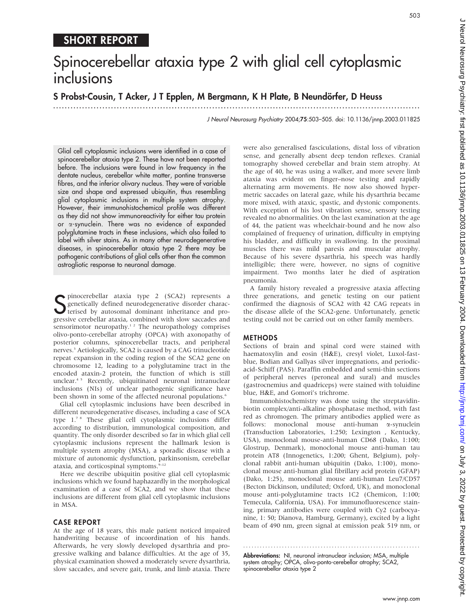# SHORT REPORT

# Spinocerebellar ataxia type 2 with glial cell cytoplasmic inclusions

# S Probst-Cousin, T Acker, J T Epplen, M Bergmann, K H Plate, B Neundörfer, D Heuss

.............................................................................................................................. .

J Neurol Neurosurg Psychiatry 2004;75:503–505. doi: 10.1136/jnnp.2003.011825

Glial cell cytoplasmic inclusions were identified in a case of spinocerebellar ataxia type 2. These have not been reported before. The inclusions were found in low frequency in the dentate nucleus, cerebellar white matter, pontine transverse fibres, and the inferior olivary nucleus. They were of variable size and shape and expressed ubiquitin, thus resembling glial cytoplasmic inclusions in multiple system atrophy. However, their immunohistochemical profile was different as they did not show immunoreactivity for either tau protein or a-synuclein. There was no evidence of expanded polyglutamine tracts in these inclusions, which also failed to label with silver stains. As in many other neurodegenerative diseases, in spinocerebellar ataxia type 2 there may be pathogenic contributions of glial cells other than the common astrogliotic response to neuronal damage.

Subsecrete that type 2 (SCA2) represents a genetically defined neurodegenerative disorder characterised by autosomal dominant inheritance and progressive cerebellar ataxia combined with slow saccades and genetically defined neurodegenerative disorder characterised by autosomal dominant inheritance and progressive cerebellar ataxia, combined with slow saccades and sensorimotor neuropathy.<sup>12</sup> The neuropathology comprises olivo-ponto-cerebellar atrophy (OPCA) with axonopathy of posterior columns, spinocerebellar tracts, and peripheral nerves.3 Aetiologically, SCA2 is caused by a CAG trinucleotide repeat expansion in the coding region of the SCA2 gene on chromosome 12, leading to a polyglutamine tract in the encoded ataxin-2 protein, the function of which is still unclear.<sup>45</sup> Recently, ubiquitinated neuronal intranuclear inclusions (NIs) of unclear pathogenic significance have been shown in some of the affected neuronal populations.<sup>6</sup>

Glial cell cytoplasmic inclusions have been described in different neurodegenerative diseases, including a case of SCA type 1.7 8 These glial cell cytoplasmic inclusions differ according to distribution, immunological composition, and quantity. The only disorder described so far in which glial cell cytoplasmic inclusions represent the hallmark lesion is multiple system atrophy (MSA), a sporadic disease with a mixture of autonomic dysfunction, parkinsonism, cerebellar ataxia, and corticospinal symptoms.<sup>9-12</sup>

Here we describe ubiquitin positive glial cell cytoplasmic inclusions which we found haphazardly in the morphological examination of a case of SCA2, and we show that these inclusions are different from glial cell cytoplasmic inclusions in MSA.

#### CASE REPORT

At the age of 18 years, this male patient noticed impaired handwriting because of incoordination of his hands. Afterwards, he very slowly developed dysarthria and progressive walking and balance difficulties. At the age of 35, physical examination showed a moderately severe dysarthria, slow saccades, and severe gait, trunk, and limb ataxia. There were also generalised fasciculations, distal loss of vibration sense, and generally absent deep tendon reflexes. Cranial tomography showed cerebellar and brain stem atrophy. At the age of 40, he was using a walker, and more severe limb ataxia was evident on finger–nose testing and rapidly alternating arm movements. He now also showed hypermetric saccades on lateral gaze, while his dysarthria became more mixed, with ataxic, spastic, and dystonic components. With exception of his lost vibration sense, sensory testing revealed no abnormalities. On the last examination at the age of 44, the patient was wheelchair-bound and he now also complained of frequency of urination, difficulty in emptying his bladder, and difficulty in swallowing. In the proximal muscles there was mild paresis and muscular atrophy. Because of his severe dysarthria, his speech was hardly intelligible; there were, however, no signs of cognitive impairment. Two months later he died of aspiration pneumonia.

A family history revealed a progressive ataxia affecting three generations, and genetic testing on our patient confirmed the diagnosis of SCA2 with 42 CAG repeats in the disease allele of the SCA2-gene. Unfortunately, genetic testing could not be carried out on other family members.

## METHODS

Sections of brain and spinal cord were stained with haematoxylin and eosin (H&E), cresyl violet, Luxol-fastblue, Bodian and Gallyas silver impregnations, and periodicacid-Schiff (PAS). Paraffin embedded and semi-thin sections of peripheral nerves (peroneal and sural) and muscles (gastrocnemius and quadriceps) were stained with toluidine blue, H&E, and Gomori's trichrome.

Immunohistochemistry was done using the streptavidinbiotin complex/anti-alkaline phosphatase method, with fast red as chromogen. The primary antibodies applied were as follows: monoclonal mouse anti-human a-synuclein (Transduction Laboratories, 1:250; Lexington , Kentucky, USA), monoclonal mouse-anti-human CD68 (Dako, 1:100; Glostrup, Denmark), monoclonal mouse anti-human tau protein AT8 (Innogenetics, 1:200; Ghent, Belgium), polyclonal rabbit anti-human ubiquitin (Dako, 1:100), monoclonal mouse anti-human glial fibrillary acid protein (GFAP) (Dako, 1:25), monoclonal mouse anti-human Leu7/CD57 (Becton Dickinson, undiluted; Oxford, UK), and monoclonal mouse anti-polyglutamine tracts 1C2 (Chemicon, 1:100; Temecula, California, USA). For immunofluorescence staining, primary antibodies were coupled with Cy2 (carbocyanine, 1: 50; Dianova, Hamburg, Germany), excited by a light beam of 490 nm, green signal at emission peak 519 nm, or

Abbreviations: NI, neuronal intranuclear inclusion; MSA, multiple system atrophy; OPCA, olivo-ponto-cerebellar atrophy; SCA2, spinocerebellar ataxia type 2

............................................................... .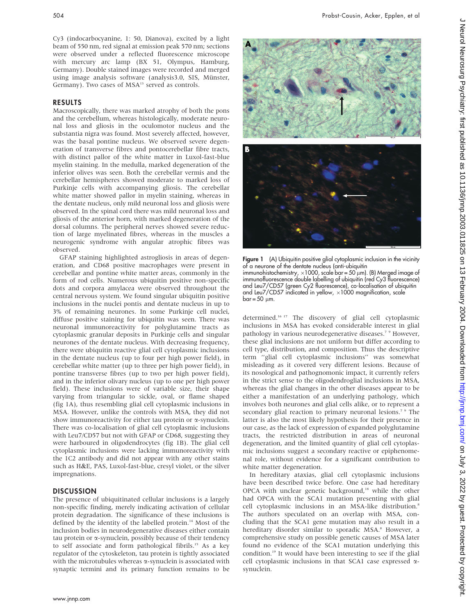Cy3 (indocarbocyanine, 1: 50, Dianova), excited by a light beam of 550 nm, red signal at emission peak 570 nm; sections were observed under a reflected fluorescence microscope with mercury arc lamp (BX 51, Olympus, Hamburg, Germany). Double stained images were recorded and merged using image analysis software (analysis3.0, SIS, Münster, Germany). Two cases of MSA<sup>13</sup> served as controls.

## RESULTS

Macroscopically, there was marked atrophy of both the pons and the cerebellum, whereas histologically, moderate neuronal loss and gliosis in the oculomotor nucleus and the substantia nigra was found. Most severely affected, however, was the basal pontine nucleus. We observed severe degeneration of transverse fibres and pontocerebellar fibre tracts, with distinct pallor of the white matter in Luxol-fast-blue myelin staining. In the medulla, marked degeneration of the inferior olives was seen. Both the cerebellar vermis and the cerebellar hemispheres showed moderate to marked loss of Purkinje cells with accompanying gliosis. The cerebellar white matter showed pallor in myelin staining, whereas in the dentate nucleus, only mild neuronal loss and gliosis were observed. In the spinal cord there was mild neuronal loss and gliosis of the anterior horn, with marked degeneration of the dorsal columns. The peripheral nerves showed severe reduction of large myelinated fibres, whereas in the muscles a neurogenic syndrome with angular atrophic fibres was observed.

GFAP staining highlighted astrogliosis in areas of degeneration, and CD68 positive macrophages were present in cerebellar and pontine white matter areas, commonly in the form of rod cells. Numerous ubiquitin positive non-specific dots and corpora amylacea were observed throughout the central nervous system. We found singular ubiquitin positive inclusions in the nuclei pontis and dentate nucleus in up to 3% of remaining neurones. In some Purkinje cell nuclei, diffuse positive staining for ubiquitin was seen. There was neuronal immunoreactivity for polyglutamine tracts as cytoplasmic granular deposits in Purkinje cells and singular neurones of the dentate nucleus. With decreasing frequency, there were ubiquitin reactive glial cell cytoplasmic inclusions in the dentate nucleus (up to four per high power field), in cerebellar white matter (up to three per high power field), in pontine transverse fibres (up to two per high power field), and in the inferior olivary nucleus (up to one per high power field). These inclusions were of variable size, their shape varying from triangular to sickle, oval, or flame shaped (fig 1A), thus resembling glial cell cytoplasmic inclusions in MSA. However, unlike the controls with MSA, they did not show immunoreactivity for either tau protein or  $\alpha$ -synuclein. There was co-localisation of glial cell cytoplasmic inclusions with Leu7/CD57 but not with GFAP or CD68, suggesting they were harboured in oligodendrocytes (fig 1B). The glial cell cytoplasmic inclusions were lacking immunoreactivity with the 1C2 antibody and did not appear with any other stains such as H&E, PAS, Luxol-fast-blue, cresyl violet, or the silver impregnations.

#### **DISCUSSION**

The presence of ubiquitinated cellular inclusions is a largely non-specific finding, merely indicating activation of cellular protein degradation. The significance of these inclusions is defined by the identity of the labelled protein.<sup>14</sup> Most of the inclusion bodies in neurodegenerative diseases either contain tau protein or  $\alpha$ -synuclein, possibly because of their tendency to self associate and form pathological fibrils.<sup>15</sup> As a key regulator of the cytoskeleton, tau protein is tightly associated with the microtubules whereas  $\alpha$ -synuclein is associated with synaptic termini and its primary function remains to be



**Figure 1** (A) Ubiquitin positive glial cytoplasmic inclusion in the vicinity of a neurone of the dentate nucleus (anti-ubiquitin immunohistochemistry,  $\times1000$ , scale bar = 50 µm). (B) Merged image of immunofluorescence double labelling of ubiquitin (red Cy3 fluorescence) and Leu7/CD57 (green Cy2 fluorescence), co-localisation of ubiquitin and Leu7/CD57 indicated in yellow,  $\times1000$  magnification, scale  $bar = 50 \mu m$ .

determined.16 17 The discovery of glial cell cytoplasmic inclusions in MSA has evoked considerable interest in glial pathology in various neurodegenerative diseases.<sup>7</sup> <sup>9</sup> However, these glial inclusions are not uniform but differ according to cell type, distribution, and composition. Thus the descriptive term ''glial cell cytoplasmic inclusions'' was somewhat misleading as it covered very different lesions. Because of its nosological and pathognomonic impact, it currently refers in the strict sense to the oligodendroglial inclusions in MSA, whereas the glial changes in the other diseases appear to be either a manifestation of an underlying pathology, which involves both neurones and glial cells alike, or to represent a secondary glial reaction to primary neuronal lesions.<sup>7</sup> <sup>9</sup> The latter is also the most likely hypothesis for their presence in our case, as the lack of expression of expanded polyglutamine tracts, the restricted distribution in areas of neuronal degeneration, and the limited quantity of glial cell cytoplasmic inclusions suggest a secondary reactive or epiphenomenal role, without evidence for a significant contribution to white matter degeneration.

In hereditary ataxias, glial cell cytoplasmic inclusions have been described twice before. One case had hereditary OPCA with unclear genetic background,<sup>18</sup> while the other had OPCA with the SCA1 mutation presenting with glial cell cytoplasmic inclusions in an MSA-like distribution.<sup>8</sup> The authors speculated on an overlap with MSA, concluding that the SCA1 gene mutation may also result in a hereditary disorder similar to sporadic MSA.<sup>8</sup> However, a comprehensive study on possible genetic causes of MSA later found no evidence of the SCA1 mutation underlying this condition.19 It would have been interesting to see if the glial cell cytoplasmic inclusions in that SCA1 case expressed asynuclein.